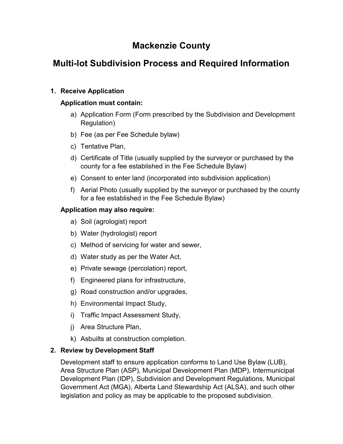# Mackenzie County

# Multi-lot Subdivision Process and Required Information

## 1. Receive Application

## Application must contain:

- a) Application Form (Form prescribed by the Subdivision and Development Regulation)
- b) Fee (as per Fee Schedule bylaw)
- c) Tentative Plan,
- d) Certificate of Title (usually supplied by the surveyor or purchased by the county for a fee established in the Fee Schedule Bylaw)
- e) Consent to enter land (incorporated into subdivision application)
- f) Aerial Photo (usually supplied by the surveyor or purchased by the county for a fee established in the Fee Schedule Bylaw)

## Application may also require:

- a) Soil (agrologist) report
- b) Water (hydrologist) report
- c) Method of servicing for water and sewer,
- d) Water study as per the Water Act,
- e) Private sewage (percolation) report,
- f) Engineered plans for infrastructure,
- g) Road construction and/or upgrades,
- h) Environmental Impact Study,
- i) Traffic Impact Assessment Study,
- j) Area Structure Plan,
- k) Asbuilts at construction completion.

## 2. Review by Development Staff

Development staff to ensure application conforms to Land Use Bylaw (LUB), Area Structure Plan (ASP), Municipal Development Plan (MDP), Intermunicipal Development Plan (IDP), Subdivision and Development Regulations, Municipal Government Act (MGA), Alberta Land Stewardship Act (ALSA), and such other legislation and policy as may be applicable to the proposed subdivision.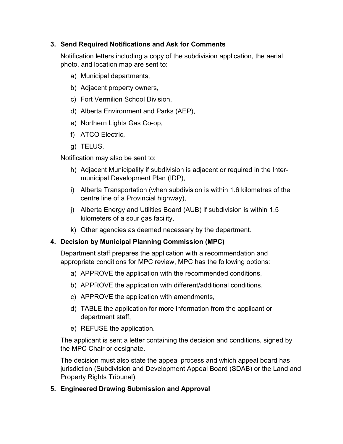### 3. Send Required Notifications and Ask for Comments

Notification letters including a copy of the subdivision application, the aerial photo, and location map are sent to:

- a) Municipal departments,
- b) Adjacent property owners,
- c) Fort Vermilion School Division,
- d) Alberta Environment and Parks (AEP),
- e) Northern Lights Gas Co-op,
- f) ATCO Electric,
- g) TELUS.

Notification may also be sent to:

- h) Adjacent Municipality if subdivision is adjacent or required in the Intermunicipal Development Plan (IDP),
- i) Alberta Transportation (when subdivision is within 1.6 kilometres of the centre line of a Provincial highway),
- j) Alberta Energy and Utilities Board (AUB) if subdivision is within 1.5 kilometers of a sour gas facility,
- k) Other agencies as deemed necessary by the department.

### 4. Decision by Municipal Planning Commission (MPC)

Department staff prepares the application with a recommendation and appropriate conditions for MPC review, MPC has the following options:

- a) APPROVE the application with the recommended conditions,
- b) APPROVE the application with different/additional conditions,
- c) APPROVE the application with amendments,
- d) TABLE the application for more information from the applicant or department staff,
- e) REFUSE the application.

The applicant is sent a letter containing the decision and conditions, signed by the MPC Chair or designate.

The decision must also state the appeal process and which appeal board has jurisdiction (Subdivision and Development Appeal Board (SDAB) or the Land and Property Rights Tribunal).

### 5. Engineered Drawing Submission and Approval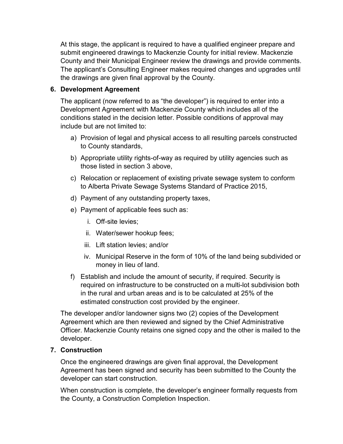At this stage, the applicant is required to have a qualified engineer prepare and submit engineered drawings to Mackenzie County for initial review. Mackenzie County and their Municipal Engineer review the drawings and provide comments. The applicant's Consulting Engineer makes required changes and upgrades until the drawings are given final approval by the County.

#### 6. Development Agreement

The applicant (now referred to as "the developer") is required to enter into a Development Agreement with Mackenzie County which includes all of the conditions stated in the decision letter. Possible conditions of approval may include but are not limited to:

- a) Provision of legal and physical access to all resulting parcels constructed to County standards,
- b) Appropriate utility rights-of-way as required by utility agencies such as those listed in section 3 above,
- c) Relocation or replacement of existing private sewage system to conform to Alberta Private Sewage Systems Standard of Practice 2015,
- d) Payment of any outstanding property taxes,
- e) Payment of applicable fees such as:
	- i. Off-site levies;
	- ii. Water/sewer hookup fees;
	- iii. Lift station levies; and/or
	- iv. Municipal Reserve in the form of 10% of the land being subdivided or money in lieu of land.
- f) Establish and include the amount of security, if required. Security is required on infrastructure to be constructed on a multi-lot subdivision both in the rural and urban areas and is to be calculated at 25% of the estimated construction cost provided by the engineer.

The developer and/or landowner signs two (2) copies of the Development Agreement which are then reviewed and signed by the Chief Administrative Officer. Mackenzie County retains one signed copy and the other is mailed to the developer.

#### 7. Construction

Once the engineered drawings are given final approval, the Development Agreement has been signed and security has been submitted to the County the developer can start construction.

When construction is complete, the developer's engineer formally requests from the County, a Construction Completion Inspection.